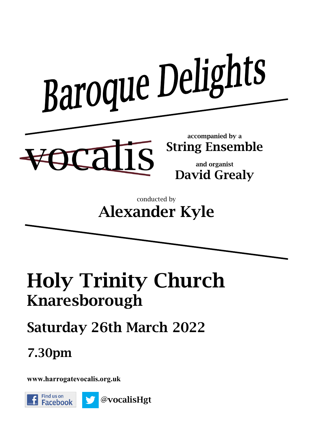

#### conducted by **Alexander Kyle**

# **Holy Trinity Church Knaresborough**

## **Saturday 26th March 2022**

### **7.30pm**

**www.harrogatevocalis.org.uk** 

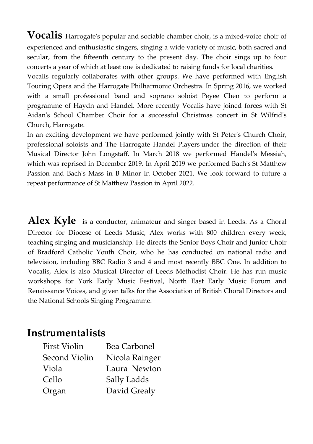**Vocalis** Harrogateʹs popular and sociable chamber choir, is a mixed-voice choir of experienced and enthusiastic singers, singing a wide variety of music, both sacred and secular, from the fifteenth century to the present day. The choir sings up to four concerts a year of which at least one is dedicated to raising funds for local charities.

Vocalis regularly collaborates with other groups. We have performed with English Touring Opera and the Harrogate Philharmonic Orchestra. In Spring 2016, we worked with a small professional band and soprano soloist Peyee Chen to perform a programme of Haydn and Handel. More recently Vocalis have joined forces with St Aidanʹs School Chamber Choir for a successful Christmas concert in St Wilfridʹs Church, Harrogate.

In an exciting development we have performed jointly with St Peter's Church Choir, professional soloists and The Harrogate Handel Players under the direction of their Musical Director John Longstaff. In March 2018 we performed Handelʹs Messiah, which was reprised in December 2019. In April 2019 we performed Bach's St Matthew Passion and Bachʹs Mass in B Minor in October 2021. We look forward to future a repeat performance of St Matthew Passion in April 2022.

Alex Kyle is a conductor, animateur and singer based in Leeds. As a Choral Director for Diocese of Leeds Music, Alex works with 800 children every week, teaching singing and musicianship. He directs the Senior Boys Choir and Junior Choir of Bradford Catholic Youth Choir, who he has conducted on national radio and television, including BBC Radio 3 and 4 and most recently BBC One. In addition to Vocalis, Alex is also Musical Director of Leeds Methodist Choir. He has run music workshops for York Early Music Festival, North East Early Music Forum and Renaissance Voices, and given talks for the Association of British Choral Directors and the National Schools Singing Programme.

#### **Instrumentalists**

| <b>First Violin</b> | <b>Bea Carbonel</b> |
|---------------------|---------------------|
| Second Violin       | Nicola Rainger      |
| Viola               | Laura Newton        |
| Cello               | Sally Ladds         |
| Organ               | David Grealy        |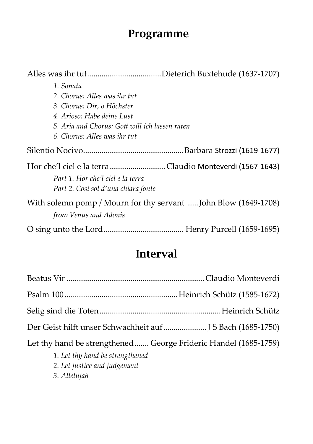### **Programme**

| 1. Sonata                                                                                |  |  |
|------------------------------------------------------------------------------------------|--|--|
| 2. Chorus: Alles was ihr tut                                                             |  |  |
| 3. Chorus: Dir, o Höchster                                                               |  |  |
| 4. Arioso: Habe deine Lust                                                               |  |  |
| 5. Aria and Chorus: Gott will ich lassen raten                                           |  |  |
| 6. Chorus: Alles was ihr tut                                                             |  |  |
|                                                                                          |  |  |
| Hor che'l ciel e la terra Claudio Monteverdi (1567-1643)                                 |  |  |
| Part 1. Hor che'l ciel e la terra                                                        |  |  |
| Part 2. Cosi sol d'una chiara fonte                                                      |  |  |
| With solemn pomp / Mourn for thy servant  John Blow (1649-1708)<br>from Venus and Adonis |  |  |
|                                                                                          |  |  |

#### **Interval**

| Der Geist hilft unser Schwachheit auf J S Bach (1685-1750)                                         |  |
|----------------------------------------------------------------------------------------------------|--|
| Let thy hand be strengthened George Frideric Handel (1685-1759)<br>1. Let thy hand be strengthened |  |

- *2. Let justice and judgement*
- *3. Allelujah*